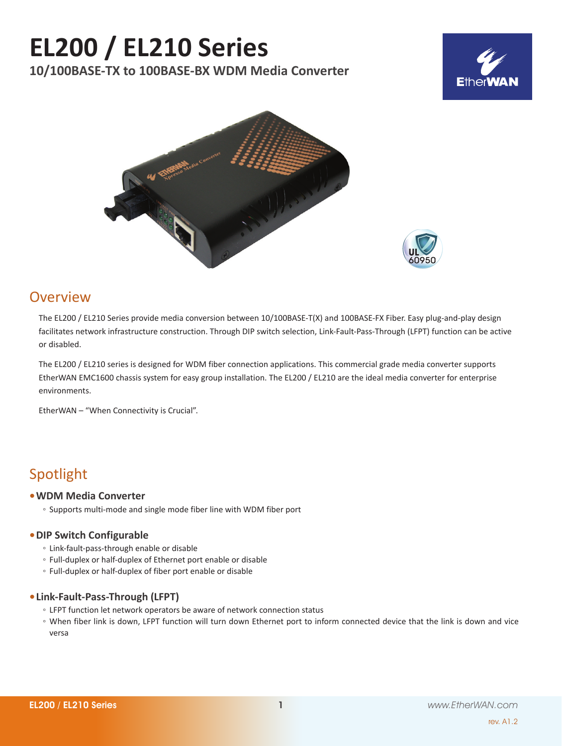# **EL200 / EL210 Series**

**10/100BASE-TX to 100BASE-BX WDM Media Converter**







### Overview

The EL200 / EL210 Series provide media conversion between 10/100BASE-T(X) and 100BASE-FX Fiber. Easy plug-and-play design facilitates network infrastructure construction. Through DIP switch selection, Link-Fault-Pass-Through (LFPT) function can be active or disabled.

The EL200 / EL210 series is designed for WDM fiber connection applications. This commercial grade media converter supports EtherWAN EMC1600 chassis system for easy group installation. The EL200 / EL210 are the ideal media converter for enterprise environments.

EtherWAN – "When Connectivity is Crucial".

### Spotlight

#### **• WDM Media Converter**

◦ Supports multi-mode and single mode fiber line with WDM fiber port

#### **• DIP Switch Configurable**

- Link-fault-pass-through enable or disable
- Full-duplex or half-duplex of Ethernet port enable or disable
- Full-duplex or half-duplex of fiber port enable or disable

#### **• Link-Fault-Pass-Through (LFPT)**

- LFPT function let network operators be aware of network connection status
- When fiber link is down, LFPT function will turn down Ethernet port to inform connected device that the link is down and vice versa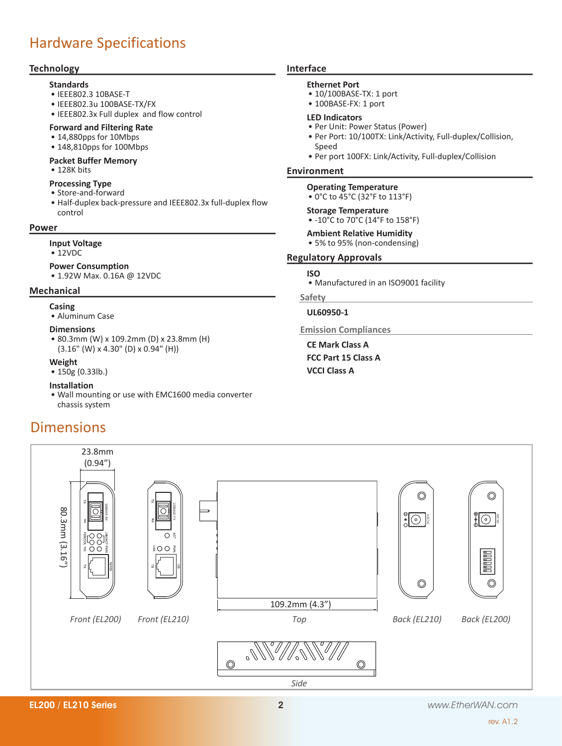# Hardware Specifications

#### **Technology**

#### **Standards**

- • IEEE802.3 10BASE-T
- • IEEE802.3u 100BASE-TX/FX
- • IEEE802.3x Full duplex and flow control

#### **Forward and Filtering Rate**

- • 14,880pps for 10Mbps
- 148,810pps for 100Mbps

#### **Packet Buffer Memory**

- • 128K bits
- **Processing Type**
- • Store-and-forward
- Half-duplex back-pressure and IEEE802.3x full-duplex flow control

#### **Power**

#### **Input Voltage**

• 12VDC

#### **Power Consumption**

• 1.92W Max. 0.16A @ 12VDC

#### **Mechanical**

- **Casing**
	- • Aluminum Case

#### **Dimensions**

• 80.3mm (W) x 109.2mm (D) x 23.8mm (H) (3.16" (W) x 4.30" (D) x 0.94" (H))

#### **Weight**

• 150g (0.33lb.)

#### **Installation**

• Wall mounting or use with EMC1600 media converter chassis system

### Dimensions



#### **Ethernet Port**

- $\bullet$  10/100BASE-TX: 1 port
- 100BASE-FX: 1 port

#### **LED Indicators**

- Per Unit: Power Status (Power)
- • Per Port: 10/100TX: Link/Activity, Full-duplex/Collision, Speed
- Per port 100FX: Link/Activity, Full-duplex/Collision

#### **Environment**

#### **Operating Temperature** • 0°C to 45°C (32°F to 113°F)

### **Storage Temperature**

- -10°C to 70°C (14°F to 158°F)
- **Ambient Relative Humidity**
- 5% to 95% (non-condensing)

#### **Regulatory Approvals**

#### **ISO**

• Manufactured in an ISO9001 facility

#### **Safety**

**UL60950-1**

**Emission Compliances**

**CE Mark Class A FCC Part 15 Class A VCCI Class A**